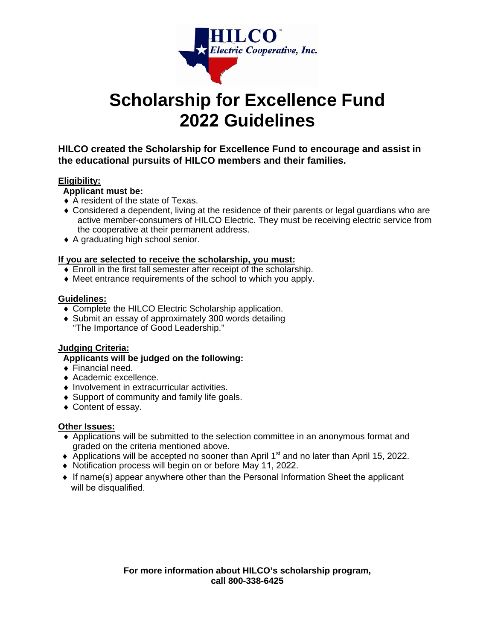

# **Scholarship for Excellence Fund 2022 Guidelines**

**HILCO created the Scholarship for Excellence Fund to encourage and assist in the educational pursuits of HILCO members and their families.** 

#### **Eligibility:**

#### **Applicant must be:**

- A resident of the state of Texas.
- Considered a dependent, living at the residence of their parents or legal guardians who are active member-consumers of HILCO Electric. They must be receiving electric service from the cooperative at their permanent address.
- ◆ A graduating high school senior.

#### **If you are selected to receive the scholarship, you must:**

- Enroll in the first fall semester after receipt of the scholarship.
- Meet entrance requirements of the school to which you apply.

#### **Guidelines:**

- ◆ Complete the HILCO Electric Scholarship application.
- Submit an essay of approximately 300 words detailing "The Importance of Good Leadership."

#### **Judging Criteria:**

#### **Applicants will be judged on the following:**

- ◆ Financial need.
- ◆ Academic excellence.
- $\bullet$  Involvement in extracurricular activities.
- ◆ Support of community and family life goals.
- Content of essay.

#### **Other Issues:**

- Applications will be submitted to the selection committee in an anonymous format and graded on the criteria mentioned above.
- $\blacklozenge$  Applications will be accepted no sooner than April 1<sup>st</sup> and no later than April 15, 2022.
- ♦ Notification process will begin on or before May 11, 2022.
- ♦ If name(s) appear anywhere other than the Personal Information Sheet the applicant will be disqualified.

**For more information about HILCO's scholarship program, call 800-338-6425**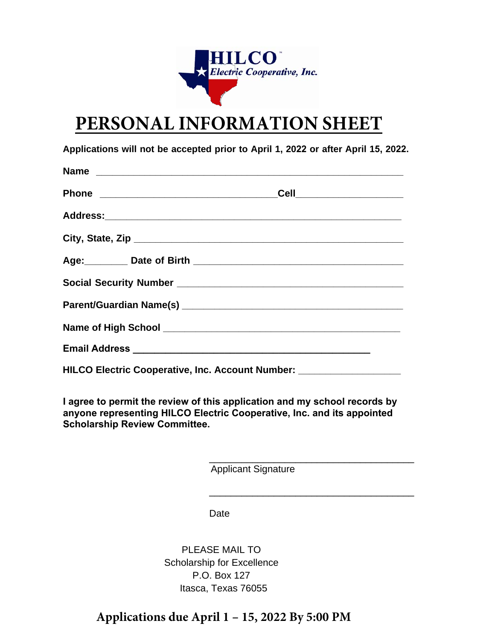

# **PERSONAL INFORMATION SHEET**

**Applications will not be accepted prior to April 1, 2022 or after April 15, 2022.** 

| _Cell_______________________                                                                                                                                                                                                         |
|--------------------------------------------------------------------------------------------------------------------------------------------------------------------------------------------------------------------------------------|
|                                                                                                                                                                                                                                      |
|                                                                                                                                                                                                                                      |
| Age: Date of Birth 1994 and 1994 and 1994 and 1994 and 1994 and 1994 and 1994 and 1994 and 1994 and 1994 and 1                                                                                                                       |
|                                                                                                                                                                                                                                      |
|                                                                                                                                                                                                                                      |
| Name of High School <b>Land Access and Access and Access and Access and Access and Access and Access and Access and Access and Access and Access and Access and Access and Access and Access and Access and Access and Access an</b> |
|                                                                                                                                                                                                                                      |
|                                                                                                                                                                                                                                      |

 **HILCO Electric Cooperative, Inc. Account Number: \_\_\_\_** 

**I agree to permit the review of this application and my school records by anyone representing HILCO Electric Cooperative, Inc. and its appointed Scholarship Review Committee.** 

Applicant Signature

\_\_\_\_\_\_\_\_\_\_\_\_\_\_\_\_\_\_\_\_\_\_\_\_\_\_\_\_\_\_\_\_\_\_\_\_\_\_

\_\_\_\_\_\_\_\_\_\_\_\_\_\_\_\_\_\_\_\_\_\_\_\_\_\_\_\_\_\_\_\_\_\_\_\_\_\_

Date

PLEASE MAIL TO Scholarship for Excellence P.O. Box 127 Itasca, Texas 76055

### **Applications due April 1 – 15, 2022 By 5:00 PM**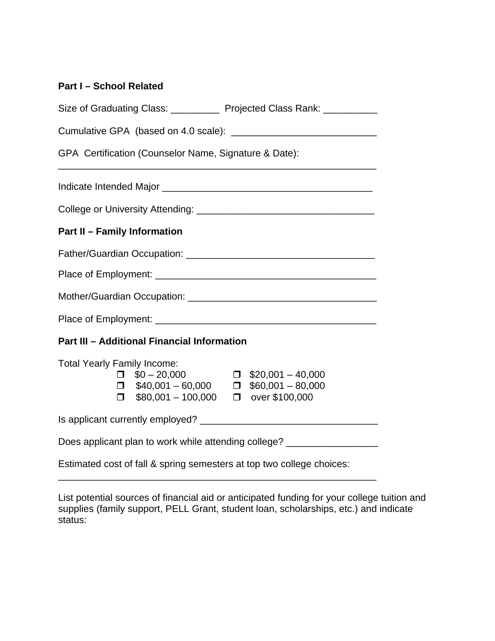### **Part I – School Related**

| Size of Graduating Class: _____________ Projected Class Rank: __________                                                                                                                                                                                                               |  |  |  |  |  |
|----------------------------------------------------------------------------------------------------------------------------------------------------------------------------------------------------------------------------------------------------------------------------------------|--|--|--|--|--|
|                                                                                                                                                                                                                                                                                        |  |  |  |  |  |
| GPA Certification (Counselor Name, Signature & Date):<br>the control of the control of the control of the control of the control of the control of the control of the control of the control of the control of the control of the control of the control of the control of the control |  |  |  |  |  |
|                                                                                                                                                                                                                                                                                        |  |  |  |  |  |
|                                                                                                                                                                                                                                                                                        |  |  |  |  |  |
| <b>Part II - Family Information</b>                                                                                                                                                                                                                                                    |  |  |  |  |  |
|                                                                                                                                                                                                                                                                                        |  |  |  |  |  |
|                                                                                                                                                                                                                                                                                        |  |  |  |  |  |
|                                                                                                                                                                                                                                                                                        |  |  |  |  |  |
|                                                                                                                                                                                                                                                                                        |  |  |  |  |  |
| <b>Part III - Additional Financial Information</b>                                                                                                                                                                                                                                     |  |  |  |  |  |
| <b>Total Yearly Family Income:</b><br>$\Box$ \$20,001 - 40,000<br>$\Box$ \$0 - 20,000<br>$\Box$ \$40,001 - 60,000 $\Box$ \$60,001 - 80,000<br>$\Box$ \$80,001 - 100,000 $\Box$ over \$100,000                                                                                          |  |  |  |  |  |
|                                                                                                                                                                                                                                                                                        |  |  |  |  |  |
| Does applicant plan to work while attending college? _____________________                                                                                                                                                                                                             |  |  |  |  |  |
| Estimated cost of fall & spring semesters at top two college choices:                                                                                                                                                                                                                  |  |  |  |  |  |

List potential sources of financial aid or anticipated funding for your college tuition and supplies (family support, PELL Grant, student loan, scholarships, etc.) and indicate status:

\_\_\_\_\_\_\_\_\_\_\_\_\_\_\_\_\_\_\_\_\_\_\_\_\_\_\_\_\_\_\_\_\_\_\_\_\_\_\_\_\_\_\_\_\_\_\_\_\_\_\_\_\_\_\_\_\_\_\_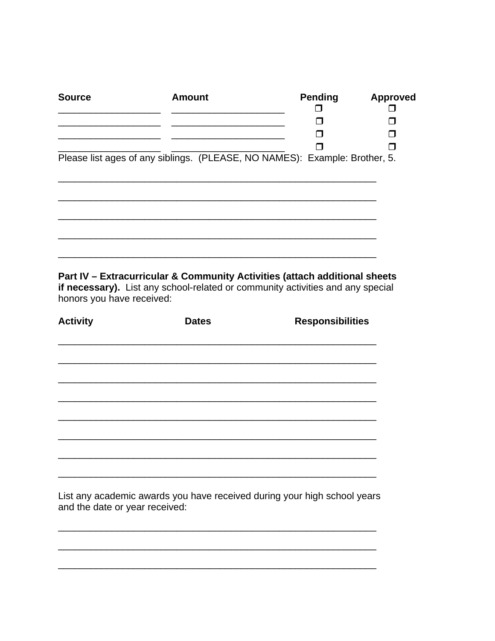| <b>Source</b>                                                                                                                                                | Amount | <b>Pending</b> | <b>Approved</b> |
|--------------------------------------------------------------------------------------------------------------------------------------------------------------|--------|----------------|-----------------|
|                                                                                                                                                              |        |                |                 |
|                                                                                                                                                              |        |                |                 |
|                                                                                                                                                              |        |                |                 |
|                                                                                                                                                              |        |                |                 |
| Please list ages of any siblings. (PLEASE, NO NAMES): Example: Brother, 5.                                                                                   |        |                |                 |
|                                                                                                                                                              |        |                |                 |
|                                                                                                                                                              |        |                |                 |
|                                                                                                                                                              |        |                |                 |
|                                                                                                                                                              |        |                |                 |
|                                                                                                                                                              |        |                |                 |
|                                                                                                                                                              |        |                |                 |
|                                                                                                                                                              |        |                |                 |
|                                                                                                                                                              |        |                |                 |
|                                                                                                                                                              |        |                |                 |
| Part IV - Extracurricular & Community Activities (attach additional sheets<br>if necessary). List any school-related or community activities and any special |        |                |                 |
| honors you have received:                                                                                                                                    |        |                |                 |

| <b>Activity</b> | <b>Dates</b> | <b>Responsibilities</b> |
|-----------------|--------------|-------------------------|
|                 |              |                         |
|                 |              |                         |
|                 |              |                         |
|                 |              |                         |
|                 |              |                         |
|                 |              |                         |
|                 |              |                         |
|                 |              |                         |

|  | List any academic awards you have received during your high school years |  |  |  |  |
|--|--------------------------------------------------------------------------|--|--|--|--|
|  | and the date or year received:                                           |  |  |  |  |

 $\frac{1}{2}$ 

 $\overline{\phantom{a}}$